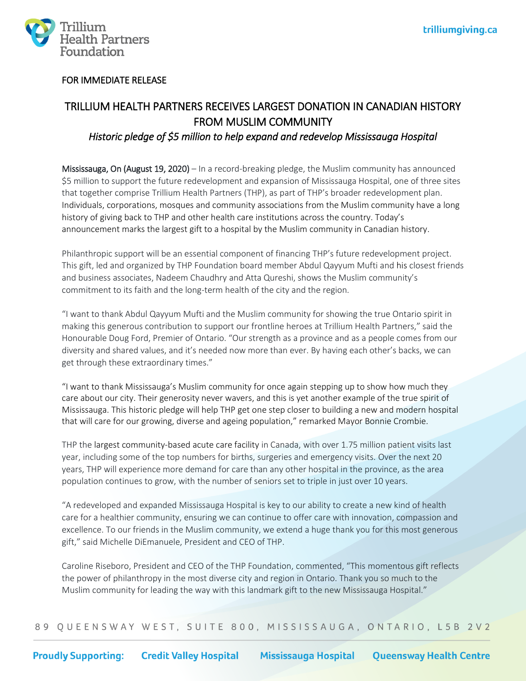

# FOR IMMEDIATE RELEASE

# TRILLIUM HEALTH PARTNERS RECEIVES LARGEST DONATION IN CANADIAN HISTORY FROM MUSLIM COMMUNITY *Historic pledge of \$5 million to help expand and redevelop Mississauga Hospital*

Mississauga, On (August 19, 2020) – In a record-breaking pledge, the Muslim community has announced \$5 million to support the future redevelopment and expansion of Mississauga Hospital, one of three sites that together comprise Trillium Health Partners (THP), as part of THP's broader redevelopment plan. Individuals, corporations, mosques and community associations from the Muslim community have a long history of giving back to THP and other health care institutions across the country. Today's announcement marks the largest gift to a hospital by the Muslim community in Canadian history.

Philanthropic support will be an essential component of financing THP's future redevelopment project. This gift, led and organized by THP Foundation board member Abdul Qayyum Mufti and his closest friends and business associates, Nadeem Chaudhry and Atta Qureshi, shows the Muslim community's commitment to its faith and the long-term health of the city and the region.

"I want to thank Abdul Qayyum Mufti and the Muslim community for showing the true Ontario spirit in making this generous contribution to support our frontline heroes at Trillium Health Partners," said the Honourable Doug Ford, Premier of Ontario. "Our strength as a province and as a people comes from our diversity and shared values, and it's needed now more than ever. By having each other's backs, we can get through these extraordinary times."

"I want to thank Mississauga's Muslim community for once again stepping up to show how much they care about our city. Their generosity never wavers, and this is yet another example of the true spirit of Mississauga. This historic pledge will help THP get one step closer to building a new and modern hospital that will care for our growing, diverse and ageing population," remarked Mayor Bonnie Crombie.

THP the largest community-based acute care facility in Canada, with over 1.75 million patient visits last year, including some of the top numbers for births, surgeries and emergency visits. Over the next 20 years, THP will experience more demand for care than any other hospital in the province, as the area population continues to grow, with the number of seniors set to triple in just over 10 years.

"A redeveloped and expanded Mississauga Hospital is key to our ability to create a new kind of health care for a healthier community, ensuring we can continue to offer care with innovation, compassion and excellence. To our friends in the Muslim community, we extend a huge thank you for this most generous gift," said Michelle DiEmanuele, President and CEO of THP.

Caroline Riseboro, President and CEO of the THP Foundation, commented, "This momentous gift reflects the power of philanthropy in the most diverse city and region in Ontario. Thank you so much to the Muslim community for leading the way with this landmark gift to the new Mississauga Hospital."

89 QUEENSWAY WEST, SUITE 800, MISSISSAUGA, ONTARIO, L5B 2V2